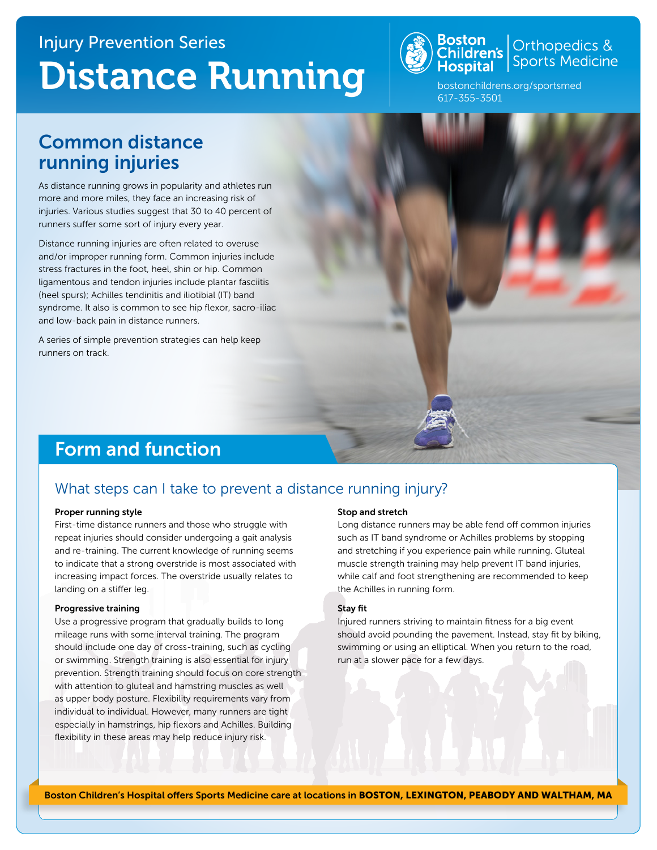# [Injury Prevention Series](http://www.childrenshospital.org/centers-and-services/departments-and-divisions/division-of-sports-medicine/patient-resources/injury-prevention) Distance Running



Orthopedics &<br>Sports Medicine

[bostonchildrens.org/sportsmed](http://www.bostonchildrens.org/sportsmed) 617-355-3501

## Common distance running injuries

As distance running grows in popularity and athletes run more and more miles, they face an increasing risk of injuries. Various studies suggest that 30 to 40 percent of runners suffer some sort of injury every year.

Distance running injuries are often related to overuse and/or improper running form. Common injuries include stress fractures in the foot, heel, shin or hip. Common ligamentous and tendon injuries include plantar fasciitis (heel spurs); Achilles tendinitis and iliotibial (IT) band syndrome. It also is common to see hip flexor, sacro-iliac and low-back pain in distance runners.

A series of simple prevention strategies can help keep runners on track.

## Form and function

### What steps can I take to prevent a distance running injury?

#### Proper running style

First-time distance runners and those who struggle with repeat injuries should consider undergoing a gait analysis and re-training. The current knowledge of running seems to indicate that a strong overstride is most associated with increasing impact forces. The overstride usually relates to landing on a stiffer leg.

#### Progressive training

Use a progressive program that gradually builds to long mileage runs with some interval training. The program should include one day of cross-training, such as cycling or swimming. Strength training is also essential for injury prevention. Strength training should focus on core strength with attention to gluteal and hamstring muscles as well as upper body posture. Flexibility requirements vary from individual to individual. However, many runners are tight especially in hamstrings, hip flexors and Achilles. Building flexibility in these areas may help reduce injury risk.

#### Stop and stretch

Long distance runners may be able fend off common injuries such as IT band syndrome or Achilles problems by stopping and stretching if you experience pain while running. Gluteal muscle strength training may help prevent IT band injuries, while calf and foot strengthening are recommended to keep the Achilles in running form.

#### Stay fit

Injured runners striving to maintain fitness for a big event should avoid pounding the pavement. Instead, stay fit by biking, swimming or using an elliptical. When you return to the road, run at a slower pace for a few days.

[Boston Children's Hospital offers Sports Medicine care at locations in](http://www.bostonchildrens.org/locations) BOSTON, LEXINGTON, PEABODY AND WALTHAM, MA